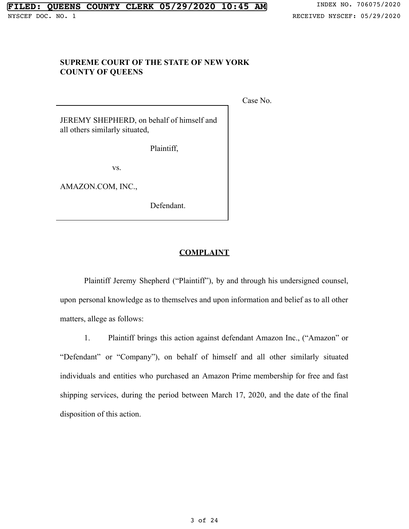## **SUPREME COURT OF THE STATE OF NEW YORK COUNTY OF QUEENS**

Case No.

JEREMY SHEPHERD, on behalf of himself and all others similarly situated,

Plaintiff,

vs.

AMAZON.COM, INC.,

Defendant.

### **COMPLAINT**

Plaintiff Jeremy Shepherd ("Plaintiff"), by and through his undersigned counsel, upon personal knowledge as to themselves and upon information and belief as to all other matters, allege as follows:

1. Plaintiff brings this action against defendant Amazon Inc., ("Amazon" or "Defendant" or "Company"), on behalf of himself and all other similarly situated individuals and entities who purchased an Amazon Prime membership for free and fast shipping services, during the period between March 17, 2020, and the date of the final disposition of this action.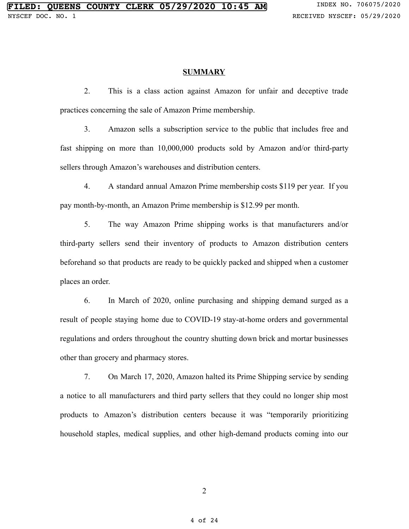#### **SUMMARY**

2. This is a class action against Amazon for unfair and deceptive trade practices concerning the sale of Amazon Prime membership.

3. Amazon sells a subscription service to the public that includes free and fast shipping on more than 10,000,000 products sold by Amazon and/or third-party sellers through Amazon's warehouses and distribution centers.

4. A standard annual Amazon Prime membership costs \$119 per year. If you pay month-by-month, an Amazon Prime membership is \$12.99 per month.

5. The way Amazon Prime shipping works is that manufacturers and/or third-party sellers send their inventory of products to Amazon distribution centers beforehand so that products are ready to be quickly packed and shipped when a customer places an order.

6. In March of 2020, online purchasing and shipping demand surged as a result of people staying home due to COVID-19 stay-at-home orders and governmental regulations and orders throughout the country shutting down brick and mortar businesses other than grocery and pharmacy stores.

7. On March 17, 2020, Amazon halted its Prime Shipping service by sending a notice to all manufacturers and third party sellers that they could no longer ship most products to Amazon's distribution centers because it was "temporarily prioritizing household staples, medical supplies, and other high-demand products coming into our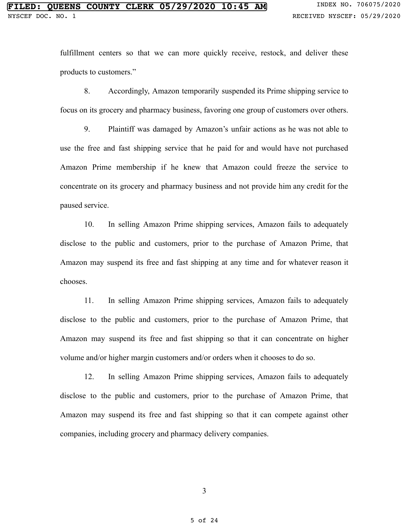fulfillment centers so that we can more quickly receive, restock, and deliver these products to customers."

8. Accordingly, Amazon temporarily suspended its Prime shipping service to focus on its grocery and pharmacy business, favoring one group of customers over others.

9. Plaintiff was damaged by Amazon's unfair actions as he was not able to use the free and fast shipping service that he paid for and would have not purchased Amazon Prime membership if he knew that Amazon could freeze the service to concentrate on its grocery and pharmacy business and not provide him any credit for the paused service.

10. In selling Amazon Prime shipping services, Amazon fails to adequately disclose to the public and customers, prior to the purchase of Amazon Prime, that Amazon may suspend its free and fast shipping at any time and for whatever reason it chooses.

11. In selling Amazon Prime shipping services, Amazon fails to adequately disclose to the public and customers, prior to the purchase of Amazon Prime, that Amazon may suspend its free and fast shipping so that it can concentrate on higher volume and/or higher margin customers and/or orders when it chooses to do so.

12. In selling Amazon Prime shipping services, Amazon fails to adequately disclose to the public and customers, prior to the purchase of Amazon Prime, that Amazon may suspend its free and fast shipping so that it can compete against other companies, including grocery and pharmacy delivery companies.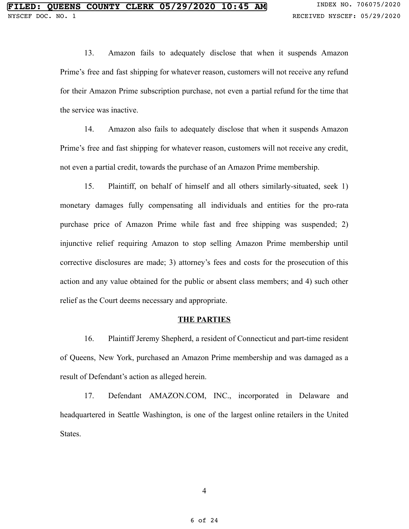13. Amazon fails to adequately disclose that when it suspends Amazon Prime's free and fast shipping for whatever reason, customers will not receive any refund for their Amazon Prime subscription purchase, not even a partial refund for the time that the service was inactive.

14. Amazon also fails to adequately disclose that when it suspends Amazon Prime's free and fast shipping for whatever reason, customers will not receive any credit, not even a partial credit, towards the purchase of an Amazon Prime membership.

15. Plaintiff, on behalf of himself and all others similarly-situated, seek 1) monetary damages fully compensating all individuals and entities for the pro-rata purchase price of Amazon Prime while fast and free shipping was suspended; 2) injunctive relief requiring Amazon to stop selling Amazon Prime membership until corrective disclosures are made; 3) attorney's fees and costs for the prosecution of this action and any value obtained for the public or absent class members; and 4) such other relief as the Court deems necessary and appropriate.

#### **THE PARTIES**

16. Plaintiff Jeremy Shepherd, a resident of Connecticut and part-time resident of Queens, New York, purchased an Amazon Prime membership and was damaged as a result of Defendant's action as alleged herein.

17. Defendant AMAZON.COM, INC., incorporated in Delaware and headquartered in Seattle Washington, is one of the largest online retailers in the United States.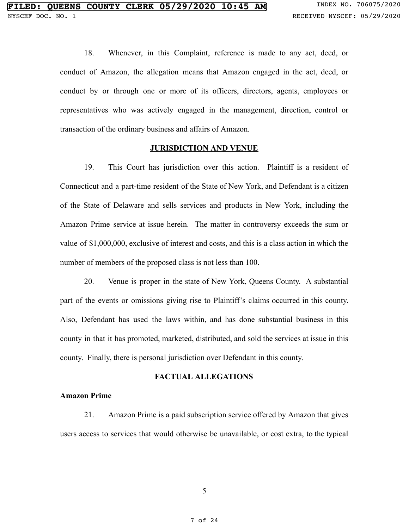18. Whenever, in this Complaint, reference is made to any act, deed, or conduct of Amazon, the allegation means that Amazon engaged in the act, deed, or conduct by or through one or more of its officers, directors, agents, employees or representatives who was actively engaged in the management, direction, control or transaction of the ordinary business and affairs of Amazon.

#### **JURISDICTION AND VENUE**

19. This Court has jurisdiction over this action. Plaintiff is a resident of Connecticut and a part-time resident of the State of New York, and Defendant is a citizen of the State of Delaware and sells services and products in New York, including the Amazon Prime service at issue herein. The matter in controversy exceeds the sum or value of \$1,000,000, exclusive of interest and costs, and this is a class action in which the number of members of the proposed class is not less than 100.

20. Venue is proper in the state of New York, Queens County. A substantial part of the events or omissions giving rise to Plaintiff's claims occurred in this county. Also, Defendant has used the laws within, and has done substantial business in this county in that it has promoted, marketed, distributed, and sold the services at issue in this county. Finally, there is personal jurisdiction over Defendant in this county.

### **FACTUAL ALLEGATIONS**

### **Amazon Prime**

21. Amazon Prime is a paid subscription service offered by Amazon that gives users access to services that would otherwise be unavailable, or cost extra, to the typical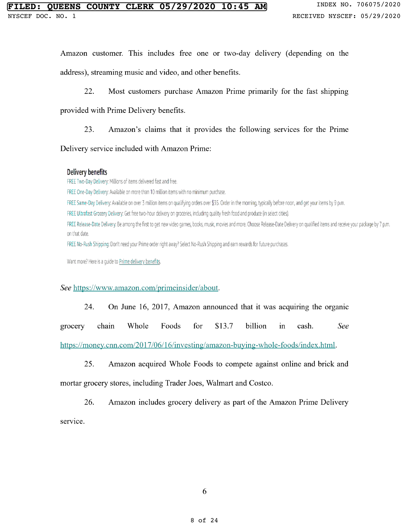# **QUEENS COUNTY CLERK 05/29/2020 10:45 AM** INDEX NO. 706075/2020

Amazon customer. This includes free one or two-day delivery (depending on the address), streaming music and video, and other benefits.

22. Most customers purchase Amazon Prime primarily for the fast shipping

provided with Prime Delivery benefits.

23. Amazon's claims that it provides the following services for the Prime

Delivery service included with Amazon Prime:

### Delivery benefits

FREE Two-Day Delivery: Millions of items delivered fast and free.

FREE One-Day Delivery: Available on more than 10 million items with no minimum purchase.

FREE Same-Day Delivery: Available on over 3 million items on qualifying orders over \$35. Order in the morning, typically before noon, and get your items by 9 p.m.

FREE Ultrafast Grocery Delivery: Get free two-hour delivery on groceries, including quality fresh food and produce (in select cities).

FREE Release-Date Delivery: Be among the first to get new video games, books, music, movies and more. Choose Release-Date Delivery on qualified items and receive your package by 7 p.m. on that date.

FREE No-Rush Shipping: Don't need your Prime order right away? Select No-Rush Shipping and earn rewards for future purchases.

Want more? Here is a quide to Prime delivery benefits.

### See https://www.amazon.com/primeinsider/about.

24. On June 16, 2017, Amazon announced that it was acquiring the organic

grocery chain Whole Foods for \$13.7 billion in cash. See

https://money.cnn.com/2017/06/16/investing/amazon-buying-whole-foods/index.html.

25. Amazon acquired Whole Foods to compete against online and brick and mortar grocery stores, including Trader Joes, Walmart and Costco.

26. Amazon includes grocery delivery as part of the Amazon Prime Delivery service.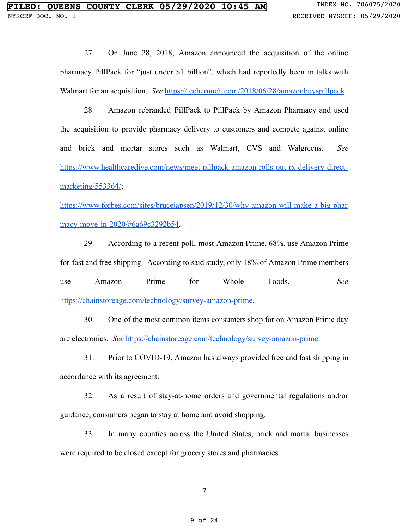27. On June 28, 2018, Amazon announced the acquisition of the online pharmacy PillPack for "just under \$1 billion", which had reportedly been in talks with Walmart for an acquisition. *See* [https://techcrunch.com/2018/06/28/amazonbuyspillpack](https://techcrunch.com/2018/06/28/amazon-buys-pillpack-an-online-pharmacy-that-was-rumored-to-be-talking-to-walmart/).

28. Amazon rebranded PillPack to PillPack by Amazon Pharmacy and used the acquisition to provide pharmacy delivery to customers and compete against online and brick and mortar stores such as Walmart, CVS and Walgreens. *See*  [https://www.healthcaredive.com/news/meet-pillpack-amazon-rolls-out-rx-delivery-direct](https://www.healthcaredive.com/news/meet-pillpack-amazon-rolls-out-rx-delivery-direct-marketing/553364/)marketing/553364/;

[https://www.forbes.com/sites/brucejapsen/2019/12/30/why-amazon-will-make-a-big-phar](https://www.forbes.com/sites/brucejapsen/2019/12/30/why-amazon-will-make-a-big-pharmacy-move-in-2020/#6a69c3292b54) [macy-move-in-2020/#6a69c3292b54 .](https://www.forbes.com/sites/brucejapsen/2019/12/30/why-amazon-will-make-a-big-pharmacy-move-in-2020/#6a69c3292b54)

29. According to a recent poll, most Amazon Prime, 68%, use Amazon Prime for fast and free shipping. According to said study, only 18% of Amazon Prime members use Amazon Prime for Whole Foods. *See*  [https://chainstoreage.com/technology/survey-amazon-prime](https://chainstoreage.com/technology/survey-looks-at-how-and-why-people-shop-at-amazon) .

30. One of the most common items consumers shop for on Amazon Prime day are electronics. *See* [https://chainstoreage.com/technology/survey-amazon-prime](https://chainstoreage.com/technology/survey-looks-at-how-and-why-people-shop-at-amazon) .

31. Prior to COVID-19, Amazon has always provided free and fast shipping in accordance with its agreement.

32. As a result of stay-at-home orders and governmental regulations and/or guidance, consumers began to stay at home and avoid shopping.

33. In many counties across the United States, brick and mortar businesses were required to be closed except for grocery stores and pharmacies.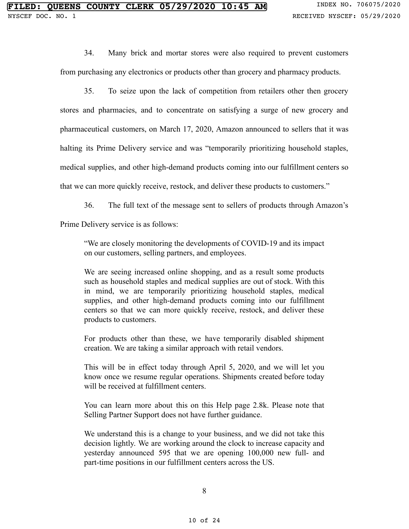34. Many brick and mortar stores were also required to prevent customers from purchasing any electronics or products other than grocery and pharmacy products.

35. To seize upon the lack of competition from retailers other then grocery stores and pharmacies, and to concentrate on satisfying a surge of new grocery and pharmaceutical customers, on March 17, 2020, Amazon announced to sellers that it was halting its Prime Delivery service and was "temporarily prioritizing household staples, medical supplies, and other high-demand products coming into our fulfillment centers so that we can more quickly receive, restock, and deliver these products to customers."

36. The full text of the message sent to sellers of products through Amazon's

Prime Delivery service is as follows:

"We are closely monitoring the developments of COVID-19 and its impact on our customers, selling partners, and employees.

We are seeing increased online shopping, and as a result some products such as household staples and medical supplies are out of stock. With this in mind, we are temporarily prioritizing household staples, medical supplies, and other high-demand products coming into our fulfillment centers so that we can more quickly receive, restock, and deliver these products to customers.

For products other than these, we have temporarily disabled shipment creation. We are taking a similar approach with retail vendors.

This will be in effect today through April 5, 2020, and we will let you know once we resume regular operations. Shipments created before today will be received at fulfillment centers.

You can learn more about this on this Help page 2.8k. Please note that Selling Partner Support does not have further guidance.

We understand this is a change to your business, and we did not take this decision lightly. We are working around the clock to increase capacity and yesterday announced 595 that we are opening 100,000 new full- and part-time positions in our fulfillment centers across the US.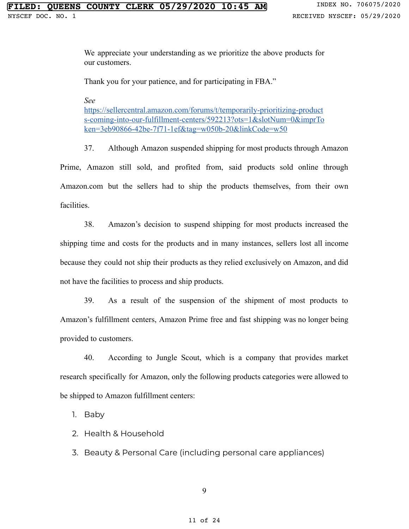We appreciate your understanding as we prioritize the above products for our customers.

Thank you for your patience, and for participating in FBA."

*See* 

[https://sellercentral.amazon.com/forums/t/temporarily-prioritizing-product](https://sellercentral.amazon.com/forums/t/temporarily-prioritizing-products-coming-into-our-fulfillment-centers/592213?ots=1&slotNum=0&imprToken=3eb90866-42be-7f71-1ef&tag=w050b-20&linkCode=w50)  [s-coming-into-our-fulfillment-centers/592213?ots=1&slotNum=0&imprTo](https://sellercentral.amazon.com/forums/t/temporarily-prioritizing-products-coming-into-our-fulfillment-centers/592213?ots=1&slotNum=0&imprToken=3eb90866-42be-7f71-1ef&tag=w050b-20&linkCode=w50)  [ken=3eb90866-42be-7f71-1ef&tag=w050b-20&linkCode=w50](https://sellercentral.amazon.com/forums/t/temporarily-prioritizing-products-coming-into-our-fulfillment-centers/592213?ots=1&slotNum=0&imprToken=3eb90866-42be-7f71-1ef&tag=w050b-20&linkCode=w50)

37. Although Amazon suspended shipping for most products through Amazon Prime, Amazon still sold, and profited from, said products sold online through Amazon.com but the sellers had to ship the products themselves, from their own facilities.

38. Amazon's decision to suspend shipping for most products increased the shipping time and costs for the products and in many instances, sellers lost all income because they could not ship their products as they relied exclusively on Amazon, and did not have the facilities to process and ship products.

39. As a result of the suspension of the shipment of most products to Amazon's fulfillment centers, Amazon Prime free and fast shipping was no longer being provided to customers.

40. According to Jungle Scout, which is a company that provides market research specifically for Amazon, only the following products categories were allowed to be shipped to Amazon fulfillment centers:

1. Baby

2. Health & Household

3. Beauty & Personal Care (including personal care appliances)

9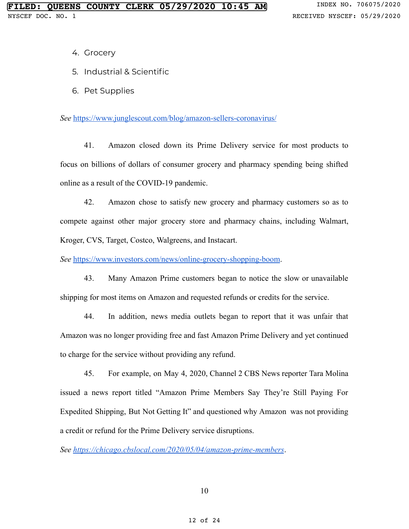- 4. Grocery
- 5. Industrial & Scientific
- 6. Pet Supplies

*See* <https://www.junglescout.com/blog/amazon-sellers-coronavirus/>

41. Amazon closed down its Prime Delivery service for most products to focus on billions of dollars of consumer grocery and pharmacy spending being shifted online as a result of the COVID-19 pandemic.

42. Amazon chose to satisfy new grocery and pharmacy customers so as to compete against other major grocery store and pharmacy chains, including Walmart, Kroger, CVS, Target, Costco, Walgreens, and Instacart.

See [https://www.investors.com/news/online-grocery-shopping-boom](https://www.investors.com/news/online-grocery-shopping-boom-raises-stakes-for-amazon-stock-walmart-stock-post-coronavirus/).

43. Many Amazon Prime customers began to notice the slow or unavailable shipping for most items on Amazon and requested refunds or credits for the service.

44. In addition, news media outlets began to report that it was unfair that Amazon was no longer providing free and fast Amazon Prime Delivery and yet continued to charge for the service without providing any refund.

45. For example, on May 4, 2020, Channel 2 CBS News reporter Tara Molina issued a news report titled "Amazon Prime Members Say They're Still Paying For Expedited Shipping, But Not Getting It" and questioned why Amazon was not providing a credit or refund for the Prime Delivery service disruptions.

*See [https://chicago.cbslocal.com/2020/05/04/amazon-prime-members](https://chicago.cbslocal.com/2020/05/04/amazon-prime-members-say-theyre-still-paying-for-expedited-shipping-but-not-getting-it/)* .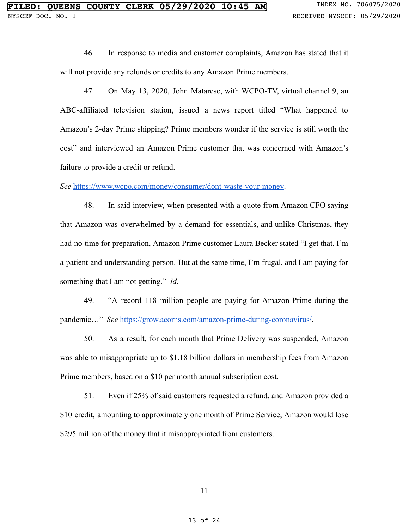46. In response to media and customer complaints, Amazon has stated that it will not provide any refunds or credits to any Amazon Prime members.

47. On May 13, 2020, John Matarese, with WCPO-TV, virtual channel 9, an ABC-affiliated television station, issued a news report titled "What happened to Amazon's 2-day Prime shipping? Prime members wonder if the service is still worth the cost" and interviewed an Amazon Prime customer that was concerned with Amazon's failure to provide a credit or refund.

*See* [https://www.wcpo.com/money/consumer/dont-waste-your-money](https://www.wcpo.com/money/consumer/dont-waste-your-money/what-happened-to-amazons-2-day-prime-shipping) .

48. In said interview, when presented with a quote from Amazon CFO saying that Amazon was overwhelmed by a demand for essentials, and unlike Christmas, they had no time for preparation, Amazon Prime customer Laura Becker stated "I get that. I'm a patient and understanding person. But at the same time, I'm frugal, and I am paying for something that I am not getting." *Id* .

49. "A record 118 million people are paying for Amazon Prime during the pandemic..." *See* <https://grow.acorns.com/amazon-prime-during-coronavirus/>.

50. As a result, for each month that Prime Delivery was suspended, Amazon was able to misappropriate up to \$1.18 billion dollars in membership fees from Amazon Prime members, based on a \$10 per month annual subscription cost.

51. Even if 25% of said customers requested a refund, and Amazon provided a \$10 credit, amounting to approximately one month of Prime Service, Amazon would lose \$295 million of the money that it misappropriated from customers.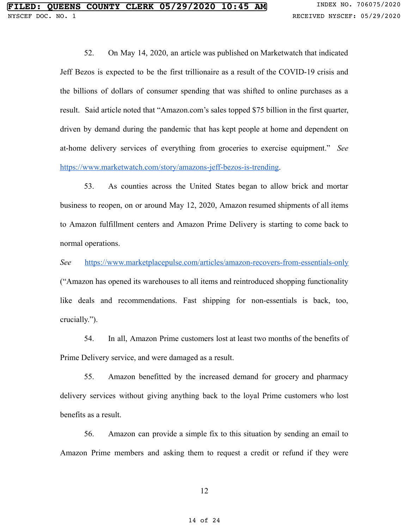52. On May 14, 2020, an article was published on Marketwatch that indicated Jeff Bezos is expected to be the first trillionaire as a result of the COVID-19 crisis and the billions of dollars of consumer spending that was shifted to online purchases as a result. Said article noted that "Amazon.com's sales topped \$75 billion in the first quarter, driven by demand during the pandemic that has kept people at home and dependent on at-home delivery services of everything from groceries to exercise equipment." *See*  [https://www.marketwatch.com/story/amazons-jeff-bezos-is-trending .](https://www.marketwatch.com/story/amazons-jeff-bezos-is-trending-on-twitter-as-users-debate-possibility-becoming-a-trillionaire-2020-05-14)

53. As counties across the United States began to allow brick and mortar business to reopen, on or around May 12, 2020, Amazon resumed shipments of all items to Amazon fulfillment centers and Amazon Prime Delivery is starting to come back to normal operations.

*See* <https://www.marketplacepulse.com/articles/amazon-recovers-from-essentials-only> ("Amazon has opened its warehouses to all items and reintroduced shopping functionality like deals and recommendations. Fast shipping for non-essentials is back, too, crucially.").

54. In all, Amazon Prime customers lost at least two months of the benefits of Prime Delivery service, and were damaged as a result.

55. Amazon benefitted by the increased demand for grocery and pharmacy delivery services without giving anything back to the loyal Prime customers who lost benefits as a result.

56. Amazon can provide a simple fix to this situation by sending an email to Amazon Prime members and asking them to request a credit or refund if they were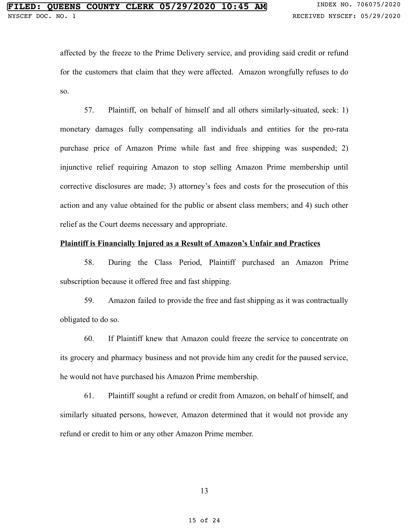affected by the freeze to the Prime Delivery service, and providing said credit or refund for the customers that claim that they were affected. Amazon wrongfully refuses to do so.

57. Plaintiff, on behalf of himself and all others similarly-situated, seek: 1) monetary damages fully compensating all individuals and entities for the pro-rata purchase price of Amazon Prime while fast and free shipping was suspended; 2) injunctive relief requiring Amazon to stop selling Amazon Prime membership until corrective disclosures are made; 3) attorney's fees and costs for the prosecution of this action and any value obtained for the public or absent class members; and 4) such other relief as the Court deems necessary and appropriate.

#### **Plaintiff is Financially Injured as a Result of Amazon's Unfair and Practices**

58. During the Class Period, Plaintiff purchased an Amazon Prime subscription because it offered free and fast shipping.

59. Amazon failed to provide the free and fast shipping as it was contractually obligated to do so.

60. If Plaintiff knew that Amazon could freeze the service to concentrate on its grocery and pharmacy business and not provide him any credit for the paused service, he would not have purchased his Amazon Prime membership.

61. Plaintiff sought a refund or credit from Amazon, on behalf of himself, and similarly situated persons, however, Amazon determined that it would not provide any refund or credit to him or any other Amazon Prime member.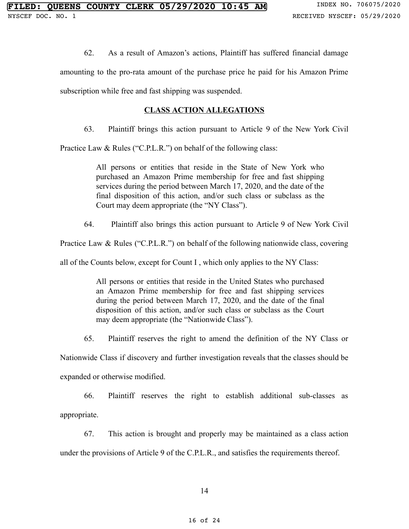62. As a result of Amazon's actions, Plaintiff has suffered financial damage

amounting to the pro-rata amount of the purchase price he paid for his Amazon Prime subscription while free and fast shipping was suspended.

### **CLASS ACTION ALLEGATIONS**

63. Plaintiff brings this action pursuant to Article 9 of the New York Civil

Practice Law & Rules ("C.P.L.R.") on behalf of the following class:

All persons or entities that reside in the State of New York who purchased an Amazon Prime membership for free and fast shipping services during the period between March 17, 2020, and the date of the final disposition of this action, and/or such class or subclass as the Court may deem appropriate (the "NY Class").

64. Plaintiff also brings this action pursuant to Article 9 of New York Civil

Practice Law & Rules ("C.P.L.R.") on behalf of the following nationwide class, covering

all of the Counts below, except for Count I , which only applies to the NY Class:

All persons or entities that reside in the United States who purchased an Amazon Prime membership for free and fast shipping services during the period between March 17, 2020, and the date of the final disposition of this action, and/or such class or subclass as the Court may deem appropriate (the "Nationwide Class").

65. Plaintiff reserves the right to amend the definition of the NY Class or

Nationwide Class if discovery and further investigation reveals that the classes should be

expanded or otherwise modified.

66. Plaintiff reserves the right to establish additional sub-classes as appropriate.

67. This action is brought and properly may be maintained as a class action

under the provisions of Article 9 of the C.P.L.R., and satisfies the requirements thereof.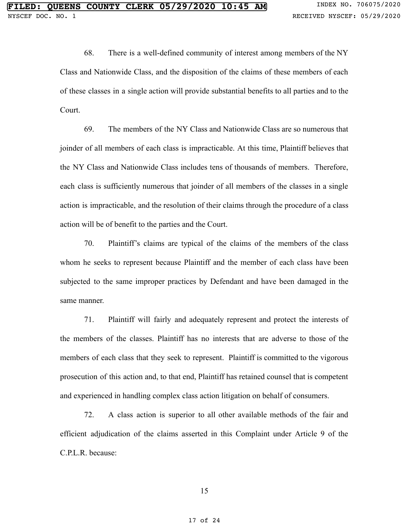68. There is a well-defined community of interest among members of the NY Class and Nationwide Class, and the disposition of the claims of these members of each of these classes in a single action will provide substantial benefits to all parties and to the Court.

69. The members of the NY Class and Nationwide Class are so numerous that joinder of all members of each class is impracticable. At this time, Plaintiff believes that the NY Class and Nationwide Class includes tens of thousands of members. Therefore, each class is sufficiently numerous that joinder of all members of the classes in a single action is impracticable, and the resolution of their claims through the procedure of a class action will be of benefit to the parties and the Court.

70. Plaintiff's claims are typical of the claims of the members of the class whom he seeks to represent because Plaintiff and the member of each class have been subjected to the same improper practices by Defendant and have been damaged in the same manner.

71. Plaintiff will fairly and adequately represent and protect the interests of the members of the classes. Plaintiff has no interests that are adverse to those of the members of each class that they seek to represent. Plaintiff is committed to the vigorous prosecution of this action and, to that end, Plaintiff has retained counsel that is competent and experienced in handling complex class action litigation on behalf of consumers.

72. A class action is superior to all other available methods of the fair and efficient adjudication of the claims asserted in this Complaint under Article 9 of the C.P.L.R. because: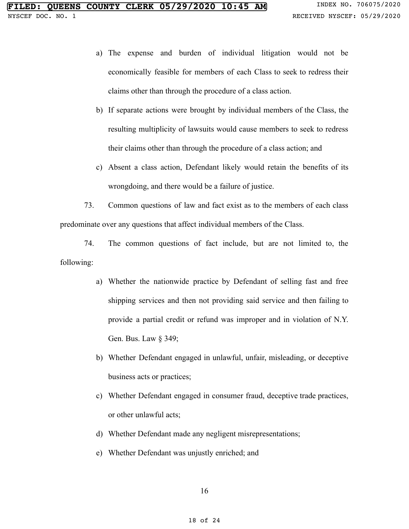- a) The expense and burden of individual litigation would not be economically feasible for members of each Class to seek to redress their claims other than through the procedure of a class action.
- b) If separate actions were brought by individual members of the Class, the resulting multiplicity of lawsuits would cause members to seek to redress their claims other than through the procedure of a class action; and
- c) Absent a class action, Defendant likely would retain the benefits of its wrongdoing, and there would be a failure of justice.

73. Common questions of law and fact exist as to the members of each class predominate over any questions that affect individual members of the Class.

74. The common questions of fact include, but are not limited to, the following:

- a) Whether the nationwide practice by Defendant of selling fast and free shipping services and then not providing said service and then failing to provide a partial credit or refund was improper and in violation of N.Y. Gen. Bus. Law § 349;
- b) Whether Defendant engaged in unlawful, unfair, misleading, or deceptive business acts or practices;
- c) Whether Defendant engaged in consumer fraud, deceptive trade practices, or other unlawful acts;
- d) Whether Defendant made any negligent misrepresentations;
- e) Whether Defendant was unjustly enriched; and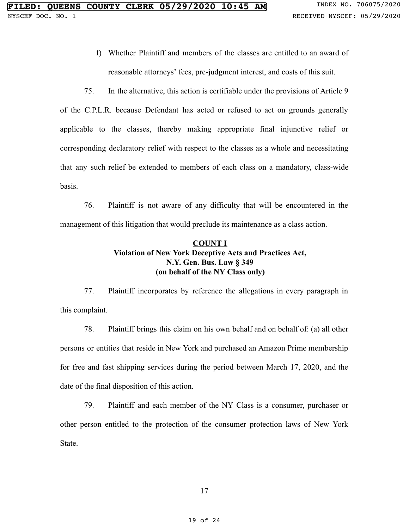f) Whether Plaintiff and members of the classes are entitled to an award of reasonable attorneys' fees, pre-judgment interest, and costs of this suit.

75. In the alternative, this action is certifiable under the provisions of Article 9 of the C.P.L.R. because Defendant has acted or refused to act on grounds generally applicable to the classes, thereby making appropriate final injunctive relief or corresponding declaratory relief with respect to the classes as a whole and necessitating that any such relief be extended to members of each class on a mandatory, class-wide basis.

76. Plaintiff is not aware of any difficulty that will be encountered in the management of this litigation that would preclude its maintenance as a class action.

# **COUNT I Violation of New York Deceptive Acts and Practices Act, N.Y. Gen. Bus. Law § 349 (on behalf of the NY Class only)**

77. Plaintiff incorporates by reference the allegations in every paragraph in this complaint.

78. Plaintiff brings this claim on his own behalf and on behalf of: (a) all other persons or entities that reside in New York and purchased an Amazon Prime membership for free and fast shipping services during the period between March 17, 2020, and the date of the final disposition of this action.

79. Plaintiff and each member of the NY Class is a consumer, purchaser or other person entitled to the protection of the consumer protection laws of New York State.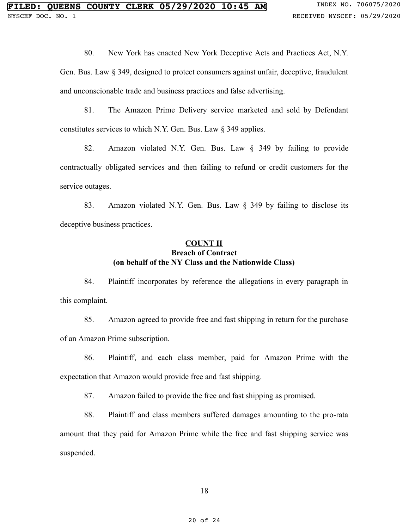80. New York has enacted New York Deceptive Acts and Practices Act, N.Y.

Gen. Bus. Law § 349, designed to protect consumers against unfair, deceptive, fraudulent and unconscionable trade and business practices and false advertising.

81. The Amazon Prime Delivery service marketed and sold by Defendant constitutes services to which N.Y. Gen. Bus. Law § 349 applies.

82. Amazon violated N.Y. Gen. Bus. Law § 349 by failing to provide contractually obligated services and then failing to refund or credit customers for the service outages.

83. Amazon violated N.Y. Gen. Bus. Law § 349 by failing to disclose its deceptive business practices.

## **COUNT II Breach of Contract (on behalf of the NY Class and the Nationwide Class)**

84. Plaintiff incorporates by reference the allegations in every paragraph in this complaint.

85. Amazon agreed to provide free and fast shipping in return for the purchase of an Amazon Prime subscription.

86. Plaintiff, and each class member, paid for Amazon Prime with the expectation that Amazon would provide free and fast shipping.

87. Amazon failed to provide the free and fast shipping as promised.

88. Plaintiff and class members suffered damages amounting to the pro-rata amount that they paid for Amazon Prime while the free and fast shipping service was suspended.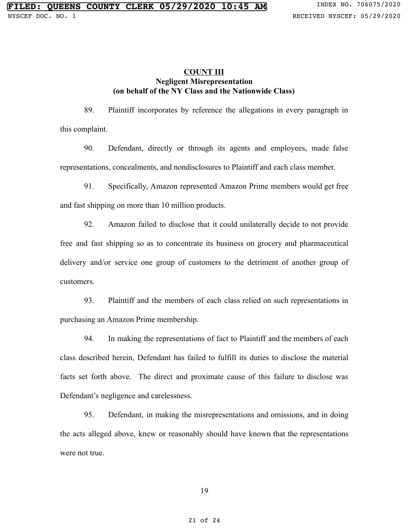### **COUNT III Negligent Misrepresentation (on behalf of the NY Class and the Nationwide Class)**

89. Plaintiff incorporates by reference the allegations in every paragraph in this complaint.

90. Defendant, directly or through its agents and employees, made false representations, concealments, and nondisclosures to Plaintiff and each class member.

91. Specifically, Amazon represented Amazon Prime members would get free and fast shipping on more than 10 million products.

92. Amazon failed to disclose that it could unilaterally decide to not provide free and fast shipping so as to concentrate its business on grocery and pharmaceutical delivery and/or service one group of customers to the detriment of another group of customers.

93. Plaintiff and the members of each class relied on such representations in purchasing an Amazon Prime membership.

94. In making the representations of fact to Plaintiff and the members of each class described herein, Defendant has failed to fulfill its duties to disclose the material facts set forth above. The direct and proximate cause of this failure to disclose was Defendant's negligence and carelessness.

95. Defendant, in making the misrepresentations and omissions, and in doing the acts alleged above, knew or reasonably should have known that the representations were not true.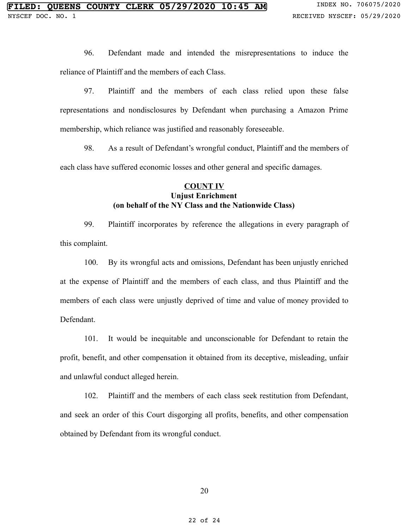96. Defendant made and intended the misrepresentations to induce the reliance of Plaintiff and the members of each Class.

97. Plaintiff and the members of each class relied upon these false representations and nondisclosures by Defendant when purchasing a Amazon Prime membership, which reliance was justified and reasonably foreseeable.

98. As a result of Defendant's wrongful conduct, Plaintiff and the members of each class have suffered economic losses and other general and specific damages.

## **COUNT IV Unjust Enrichment (on behalf of the NY Class and the Nationwide Class)**

99. Plaintiff incorporates by reference the allegations in every paragraph of this complaint.

100. By its wrongful acts and omissions, Defendant has been unjustly enriched at the expense of Plaintiff and the members of each class, and thus Plaintiff and the members of each class were unjustly deprived of time and value of money provided to Defendant.

101. It would be inequitable and unconscionable for Defendant to retain the profit, benefit, and other compensation it obtained from its deceptive, misleading, unfair and unlawful conduct alleged herein.

102. Plaintiff and the members of each class seek restitution from Defendant, and seek an order of this Court disgorging all profits, benefits, and other compensation obtained by Defendant from its wrongful conduct.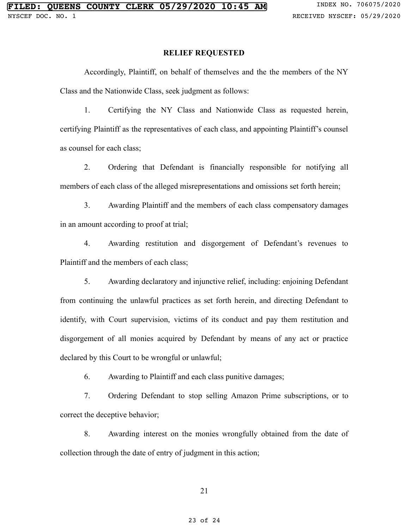### **RELIEF REQUESTED**

Accordingly, Plaintiff, on behalf of themselves and the the members of the NY Class and the Nationwide Class, seek judgment as follows:

1. Certifying the NY Class and Nationwide Class as requested herein, certifying Plaintiff as the representatives of each class, and appointing Plaintiff's counsel as counsel for each class;

2. Ordering that Defendant is financially responsible for notifying all members of each class of the alleged misrepresentations and omissions set forth herein;

3. Awarding Plaintiff and the members of each class compensatory damages in an amount according to proof at trial;

4. Awarding restitution and disgorgement of Defendant's revenues to Plaintiff and the members of each class;

5. Awarding declaratory and injunctive relief, including: enjoining Defendant from continuing the unlawful practices as set forth herein, and directing Defendant to identify, with Court supervision, victims of its conduct and pay them restitution and disgorgement of all monies acquired by Defendant by means of any act or practice declared by this Court to be wrongful or unlawful;

6. Awarding to Plaintiff and each class punitive damages;

7. Ordering Defendant to stop selling Amazon Prime subscriptions, or to correct the deceptive behavior;

8. Awarding interest on the monies wrongfully obtained from the date of collection through the date of entry of judgment in this action;

21